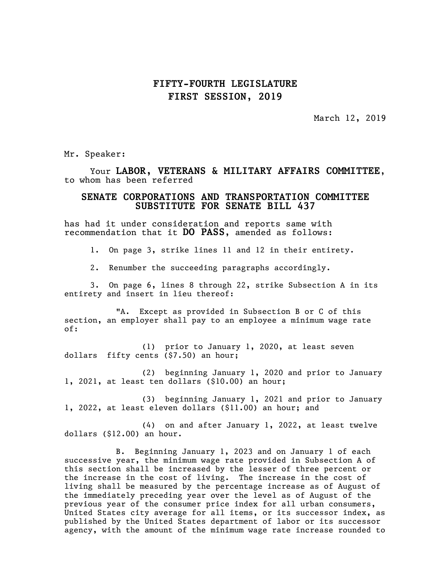## **FIFTY-FOURTH LEGISLATURE FIRST SESSION, 2019**

March 12, 2019

Mr. Speaker:

Your **LABOR, VETERANS & MILITARY AFFAIRS COMMITTEE,** to whom has been referred

## **SENATE CORPORATIONS AND TRANSPORTATION COMMITTEE SUBSTITUTE FOR SENATE BILL 437**

has had it under consideration and reports same with recommendation that it **DO PASS**, amended as follows:

1. On page 3, strike lines 11 and 12 in their entirety.

2. Renumber the succeeding paragraphs accordingly.

3. On page 6, lines 8 through 22, strike Subsection A in its entirety and insert in lieu thereof:

"A. Except as provided in Subsection B or C of this section, an employer shall pay to an employee a minimum wage rate of:

(1) prior to January 1, 2020, at least seven dollars fifty cents (\$7.50) an hour;

(2) beginning January 1, 2020 and prior to January 1, 2021, at least ten dollars (\$10.00) an hour;

(3) beginning January 1, 2021 and prior to January 1, 2022, at least eleven dollars (\$11.00) an hour; and

(4) on and after January 1, 2022, at least twelve dollars (\$12.00) an hour.

B. Beginning January 1, 2023 and on January 1 of each successive year, the minimum wage rate provided in Subsection A of this section shall be increased by the lesser of three percent or the increase in the cost of living. The increase in the cost of living shall be measured by the percentage increase as of August of the immediately preceding year over the level as of August of the previous year of the consumer price index for all urban consumers, United States city average for all items, or its successor index, as published by the United States department of labor or its successor agency, with the amount of the minimum wage rate increase rounded to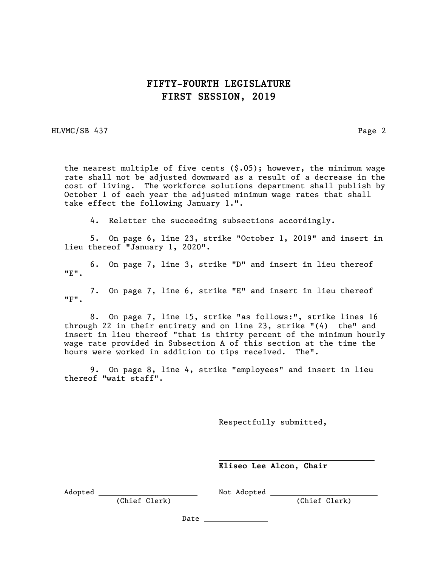## **FIFTY-FOURTH LEGISLATURE FIRST SESSION, 2019**

HLVMC/SB 437 Page 2

the nearest multiple of five cents  $(\text{\$.05})$ ; however, the minimum wage rate shall not be adjusted downward as a result of a decrease in the cost of living. The workforce solutions department shall publish by October 1 of each year the adjusted minimum wage rates that shall take effect the following January 1.".

4. Reletter the succeeding subsections accordingly.

5. On page 6, line 23, strike "October 1, 2019" and insert in lieu thereof "January 1, 2020".

6. On page 7, line 3, strike "D" and insert in lieu thereof "E".

7. On page 7, line 6, strike "E" and insert in lieu thereof "F".

8. On page 7, line 15, strike "as follows:", strike lines 16 through 22 in their entirety and on line 23, strike "(4) the" and insert in lieu thereof "that is thirty percent of the minimum hourly wage rate provided in Subsection A of this section at the time the hours were worked in addition to tips received. The".

9. On page 8, line 4, strike "employees" and insert in lieu thereof "wait staff".

 $\overline{a}$ 

Respectfully submitted,

**Eliseo Lee Alcon, Chair**

Adopted Not Adopted

(Chief Clerk) (Chief Clerk)

Date